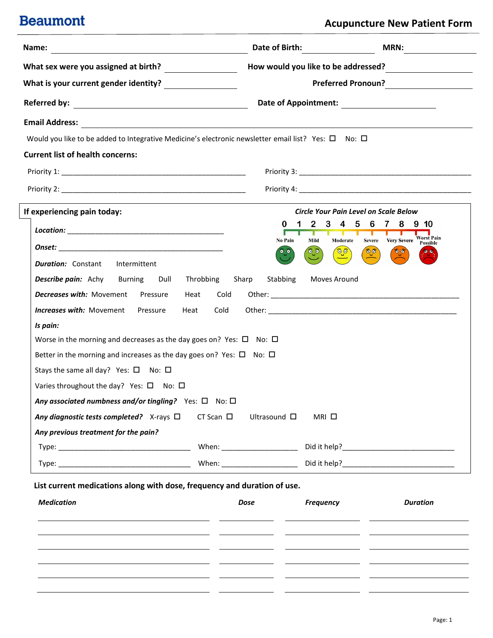### **Acupuncture New Patient Form**

| Name:<br><u> 1989 - Johann Stoff, deutscher Stoffen und der Stoffen und der Stoffen und der Stoffen und der Stoffen und de</u> | Date of Birth: ________________          | <b>MRN:</b>                                                                                                           |  |  |  |
|--------------------------------------------------------------------------------------------------------------------------------|------------------------------------------|-----------------------------------------------------------------------------------------------------------------------|--|--|--|
| What sex were you assigned at birth? $\frac{1}{\sqrt{1-\frac{1}{2}}\sqrt{1-\frac{1}{2}}\left(1-\frac{1}{2}\right)}$            | How would you like to be addressed?      | <u> 1980 - Jan Samuel Barbara, político establecera en la propia de la propia de la propia de la propia de la pro</u> |  |  |  |
|                                                                                                                                |                                          | Preferred Pronoun?                                                                                                    |  |  |  |
|                                                                                                                                |                                          |                                                                                                                       |  |  |  |
|                                                                                                                                |                                          |                                                                                                                       |  |  |  |
| Would you like to be added to Integrative Medicine's electronic newsletter email list? Yes: $\Box$ No: $\Box$                  |                                          |                                                                                                                       |  |  |  |
| <b>Current list of health concerns:</b>                                                                                        |                                          |                                                                                                                       |  |  |  |
|                                                                                                                                |                                          |                                                                                                                       |  |  |  |
|                                                                                                                                |                                          |                                                                                                                       |  |  |  |
| If experiencing pain today:                                                                                                    |                                          | Circle Your Pain Level on Scale Below                                                                                 |  |  |  |
|                                                                                                                                | 0                                        | 8<br>$9 \t10$                                                                                                         |  |  |  |
|                                                                                                                                | No Pain<br>Mild                          | Severe Very Severe Worst Pain<br>Moderate<br>Possible                                                                 |  |  |  |
| <b>Duration:</b> Constant<br>Intermittent                                                                                      | ୍ତି                                      | ିତ୍ <i>ର</i><br>್ಫಿ<br>$\bullet$                                                                                      |  |  |  |
| <b>Describe pain:</b> Achy Burning Dull Throbbing                                                                              | Sharp<br>Stabbing                        | Moves Around                                                                                                          |  |  |  |
| <b>Decreases with:</b> Movement Pressure Heat Cold                                                                             |                                          |                                                                                                                       |  |  |  |
| <b>Increases with:</b> Movement Pressure<br>Heat                                                                               | Cold                                     |                                                                                                                       |  |  |  |
| Is pain:                                                                                                                       |                                          |                                                                                                                       |  |  |  |
| Worse in the morning and decreases as the day goes on? Yes: $\Box$ No: $\Box$                                                  |                                          |                                                                                                                       |  |  |  |
| Better in the morning and increases as the day goes on? Yes: $\Box$ No: $\Box$                                                 |                                          |                                                                                                                       |  |  |  |
| Stays the same all day? Yes: $\square$ No: $\square$                                                                           |                                          |                                                                                                                       |  |  |  |
| Varies throughout the day? Yes: $\square$ No: $\square$                                                                        |                                          |                                                                                                                       |  |  |  |
| Any associated numbness and/or tingling? Yes: $\Box$ No: $\Box$                                                                |                                          |                                                                                                                       |  |  |  |
| Any diagnostic tests completed? $X$ -rays $\Box$                                                                               | $CT$ Scan $\Box$<br>Ultrasound $\square$ | MRI □                                                                                                                 |  |  |  |
| Any previous treatment for the pain?                                                                                           |                                          |                                                                                                                       |  |  |  |
|                                                                                                                                |                                          |                                                                                                                       |  |  |  |
|                                                                                                                                |                                          |                                                                                                                       |  |  |  |
| List current medications along with dose, frequency and duration of use.                                                       |                                          |                                                                                                                       |  |  |  |
| <b>Medication</b>                                                                                                              |                                          |                                                                                                                       |  |  |  |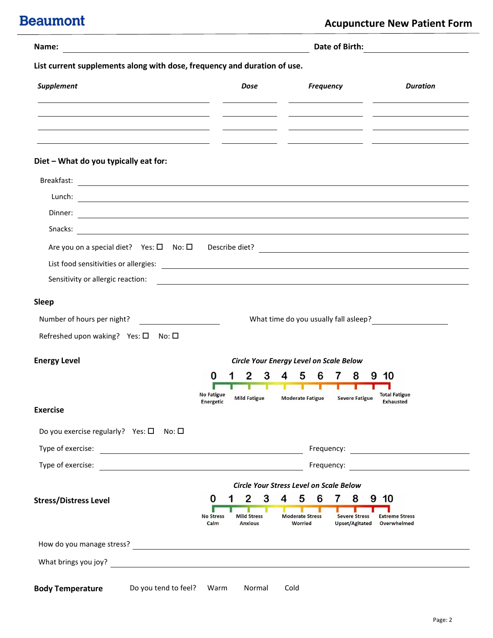| List current supplements along with dose, frequency and duration of use.<br>Supplement<br><b>Frequency</b><br><b>Duration</b><br><b>Dose</b><br><u> 1990 - Jan James James James James James James James James James James James James James James James James J</u><br>$\frac{1}{2}$ and $\frac{1}{2}$ and $\frac{1}{2}$ and $\frac{1}{2}$ and $\frac{1}{2}$ and $\frac{1}{2}$ and $\frac{1}{2}$ and $\frac{1}{2}$ and $\frac{1}{2}$ and $\frac{1}{2}$ and $\frac{1}{2}$ and $\frac{1}{2}$ and $\frac{1}{2}$ and $\frac{1}{2}$ and $\frac{1}{2}$ and $\frac{1}{2}$ a<br><u>and the state of the state of the state of the state of the state of the state of the state of the state of the state of the state of the state of the state of the state of the state of the state of the state of the state</u><br><u> 1989 - Johann Stein, mars an t-Amerikaansk politiker (* 1908)</u><br><u> 1990 - Jan James Sammer, politik američki politik († 1901)</u><br>Diet - What do you typically eat for:<br>Dinner:<br><u> 1989 - Johann Harry Harry Harry Harry Harry Harry Harry Harry Harry Harry Harry Harry Harry Harry Harry Harry</u><br>Sensitivity or allergic reaction:<br><u> 1980 - Andrea State Barbara, amerikan personal di sebagai personal di sebagai personal di sebagai personal d</u><br><b>Sleep</b><br>Number of hours per night?<br><u> and</u> the contract of the set of the set of the set of the set of the set of the set of the set of the set of the set of the set of the set of the set of the set of the set of the set of the se<br>What time do you usually fall asleep?<br>Refreshed upon waking? Yes: $\square$ No: $\square$<br><b>Energy Level</b><br>Circle Your Energy Level on Scale Below<br>3<br>4<br>5<br>6<br>8<br>0<br>2<br>$\mathbf{7}$<br>-10<br>9<br>т<br>т<br><b>No Fatigue</b><br><b>Total Fatigue</b><br><b>Mild Fatigue</b><br><b>Moderate Fatigue</b><br><b>Severe Fatigue</b><br>Energetic<br><b>Exhausted</b><br><b>Exercise</b><br>Do you exercise regularly? Yes: $\square$<br>No: □<br>Type of exercise:<br><u> 1980 - Johann Stoff, fransk politik (d. 1980)</u><br>Type of exercise:<br><b>Circle Your Stress Level on Scale Below</b><br>3<br>$\overline{4}$<br>5<br>6<br>$\overline{2}$<br>$7\phantom{.0}$<br>8<br>10<br>0<br>9<br><b>Stress/Distress Level</b><br>п<br><b>Moderate Stress</b><br><b>Mild Stress</b><br><b>Severe Stress</b><br><b>No Stress</b><br><b>Extreme Stress</b><br>Calm<br><b>Anxious</b><br><b>Worried</b><br><b>Upset/Agitated</b><br>Overwhelmed | Name:                                           |      |        |      | Date of Birth: |  |
|--------------------------------------------------------------------------------------------------------------------------------------------------------------------------------------------------------------------------------------------------------------------------------------------------------------------------------------------------------------------------------------------------------------------------------------------------------------------------------------------------------------------------------------------------------------------------------------------------------------------------------------------------------------------------------------------------------------------------------------------------------------------------------------------------------------------------------------------------------------------------------------------------------------------------------------------------------------------------------------------------------------------------------------------------------------------------------------------------------------------------------------------------------------------------------------------------------------------------------------------------------------------------------------------------------------------------------------------------------------------------------------------------------------------------------------------------------------------------------------------------------------------------------------------------------------------------------------------------------------------------------------------------------------------------------------------------------------------------------------------------------------------------------------------------------------------------------------------------------------------------------------------------------------------------------------------------------------------------------------------------------------------------------------------------------------------------------------------------------------------------------------------------------------------------------------------------------------------------------------------------------------------------------------------------------------------------------------------------------------------------------------------------------------------------------------------------------------------------------------------------------------------------------------------|-------------------------------------------------|------|--------|------|----------------|--|
|                                                                                                                                                                                                                                                                                                                                                                                                                                                                                                                                                                                                                                                                                                                                                                                                                                                                                                                                                                                                                                                                                                                                                                                                                                                                                                                                                                                                                                                                                                                                                                                                                                                                                                                                                                                                                                                                                                                                                                                                                                                                                                                                                                                                                                                                                                                                                                                                                                                                                                                                            |                                                 |      |        |      |                |  |
|                                                                                                                                                                                                                                                                                                                                                                                                                                                                                                                                                                                                                                                                                                                                                                                                                                                                                                                                                                                                                                                                                                                                                                                                                                                                                                                                                                                                                                                                                                                                                                                                                                                                                                                                                                                                                                                                                                                                                                                                                                                                                                                                                                                                                                                                                                                                                                                                                                                                                                                                            |                                                 |      |        |      |                |  |
|                                                                                                                                                                                                                                                                                                                                                                                                                                                                                                                                                                                                                                                                                                                                                                                                                                                                                                                                                                                                                                                                                                                                                                                                                                                                                                                                                                                                                                                                                                                                                                                                                                                                                                                                                                                                                                                                                                                                                                                                                                                                                                                                                                                                                                                                                                                                                                                                                                                                                                                                            |                                                 |      |        |      |                |  |
|                                                                                                                                                                                                                                                                                                                                                                                                                                                                                                                                                                                                                                                                                                                                                                                                                                                                                                                                                                                                                                                                                                                                                                                                                                                                                                                                                                                                                                                                                                                                                                                                                                                                                                                                                                                                                                                                                                                                                                                                                                                                                                                                                                                                                                                                                                                                                                                                                                                                                                                                            |                                                 |      |        |      |                |  |
|                                                                                                                                                                                                                                                                                                                                                                                                                                                                                                                                                                                                                                                                                                                                                                                                                                                                                                                                                                                                                                                                                                                                                                                                                                                                                                                                                                                                                                                                                                                                                                                                                                                                                                                                                                                                                                                                                                                                                                                                                                                                                                                                                                                                                                                                                                                                                                                                                                                                                                                                            |                                                 |      |        |      |                |  |
|                                                                                                                                                                                                                                                                                                                                                                                                                                                                                                                                                                                                                                                                                                                                                                                                                                                                                                                                                                                                                                                                                                                                                                                                                                                                                                                                                                                                                                                                                                                                                                                                                                                                                                                                                                                                                                                                                                                                                                                                                                                                                                                                                                                                                                                                                                                                                                                                                                                                                                                                            |                                                 |      |        |      |                |  |
|                                                                                                                                                                                                                                                                                                                                                                                                                                                                                                                                                                                                                                                                                                                                                                                                                                                                                                                                                                                                                                                                                                                                                                                                                                                                                                                                                                                                                                                                                                                                                                                                                                                                                                                                                                                                                                                                                                                                                                                                                                                                                                                                                                                                                                                                                                                                                                                                                                                                                                                                            |                                                 |      |        |      |                |  |
|                                                                                                                                                                                                                                                                                                                                                                                                                                                                                                                                                                                                                                                                                                                                                                                                                                                                                                                                                                                                                                                                                                                                                                                                                                                                                                                                                                                                                                                                                                                                                                                                                                                                                                                                                                                                                                                                                                                                                                                                                                                                                                                                                                                                                                                                                                                                                                                                                                                                                                                                            |                                                 |      |        |      |                |  |
|                                                                                                                                                                                                                                                                                                                                                                                                                                                                                                                                                                                                                                                                                                                                                                                                                                                                                                                                                                                                                                                                                                                                                                                                                                                                                                                                                                                                                                                                                                                                                                                                                                                                                                                                                                                                                                                                                                                                                                                                                                                                                                                                                                                                                                                                                                                                                                                                                                                                                                                                            |                                                 |      |        |      |                |  |
|                                                                                                                                                                                                                                                                                                                                                                                                                                                                                                                                                                                                                                                                                                                                                                                                                                                                                                                                                                                                                                                                                                                                                                                                                                                                                                                                                                                                                                                                                                                                                                                                                                                                                                                                                                                                                                                                                                                                                                                                                                                                                                                                                                                                                                                                                                                                                                                                                                                                                                                                            |                                                 |      |        |      |                |  |
|                                                                                                                                                                                                                                                                                                                                                                                                                                                                                                                                                                                                                                                                                                                                                                                                                                                                                                                                                                                                                                                                                                                                                                                                                                                                                                                                                                                                                                                                                                                                                                                                                                                                                                                                                                                                                                                                                                                                                                                                                                                                                                                                                                                                                                                                                                                                                                                                                                                                                                                                            |                                                 |      |        |      |                |  |
|                                                                                                                                                                                                                                                                                                                                                                                                                                                                                                                                                                                                                                                                                                                                                                                                                                                                                                                                                                                                                                                                                                                                                                                                                                                                                                                                                                                                                                                                                                                                                                                                                                                                                                                                                                                                                                                                                                                                                                                                                                                                                                                                                                                                                                                                                                                                                                                                                                                                                                                                            |                                                 |      |        |      |                |  |
|                                                                                                                                                                                                                                                                                                                                                                                                                                                                                                                                                                                                                                                                                                                                                                                                                                                                                                                                                                                                                                                                                                                                                                                                                                                                                                                                                                                                                                                                                                                                                                                                                                                                                                                                                                                                                                                                                                                                                                                                                                                                                                                                                                                                                                                                                                                                                                                                                                                                                                                                            |                                                 |      |        |      |                |  |
|                                                                                                                                                                                                                                                                                                                                                                                                                                                                                                                                                                                                                                                                                                                                                                                                                                                                                                                                                                                                                                                                                                                                                                                                                                                                                                                                                                                                                                                                                                                                                                                                                                                                                                                                                                                                                                                                                                                                                                                                                                                                                                                                                                                                                                                                                                                                                                                                                                                                                                                                            |                                                 |      |        |      |                |  |
|                                                                                                                                                                                                                                                                                                                                                                                                                                                                                                                                                                                                                                                                                                                                                                                                                                                                                                                                                                                                                                                                                                                                                                                                                                                                                                                                                                                                                                                                                                                                                                                                                                                                                                                                                                                                                                                                                                                                                                                                                                                                                                                                                                                                                                                                                                                                                                                                                                                                                                                                            |                                                 |      |        |      |                |  |
|                                                                                                                                                                                                                                                                                                                                                                                                                                                                                                                                                                                                                                                                                                                                                                                                                                                                                                                                                                                                                                                                                                                                                                                                                                                                                                                                                                                                                                                                                                                                                                                                                                                                                                                                                                                                                                                                                                                                                                                                                                                                                                                                                                                                                                                                                                                                                                                                                                                                                                                                            |                                                 |      |        |      |                |  |
|                                                                                                                                                                                                                                                                                                                                                                                                                                                                                                                                                                                                                                                                                                                                                                                                                                                                                                                                                                                                                                                                                                                                                                                                                                                                                                                                                                                                                                                                                                                                                                                                                                                                                                                                                                                                                                                                                                                                                                                                                                                                                                                                                                                                                                                                                                                                                                                                                                                                                                                                            |                                                 |      |        |      |                |  |
|                                                                                                                                                                                                                                                                                                                                                                                                                                                                                                                                                                                                                                                                                                                                                                                                                                                                                                                                                                                                                                                                                                                                                                                                                                                                                                                                                                                                                                                                                                                                                                                                                                                                                                                                                                                                                                                                                                                                                                                                                                                                                                                                                                                                                                                                                                                                                                                                                                                                                                                                            |                                                 |      |        |      |                |  |
|                                                                                                                                                                                                                                                                                                                                                                                                                                                                                                                                                                                                                                                                                                                                                                                                                                                                                                                                                                                                                                                                                                                                                                                                                                                                                                                                                                                                                                                                                                                                                                                                                                                                                                                                                                                                                                                                                                                                                                                                                                                                                                                                                                                                                                                                                                                                                                                                                                                                                                                                            |                                                 |      |        |      |                |  |
|                                                                                                                                                                                                                                                                                                                                                                                                                                                                                                                                                                                                                                                                                                                                                                                                                                                                                                                                                                                                                                                                                                                                                                                                                                                                                                                                                                                                                                                                                                                                                                                                                                                                                                                                                                                                                                                                                                                                                                                                                                                                                                                                                                                                                                                                                                                                                                                                                                                                                                                                            |                                                 |      |        |      |                |  |
|                                                                                                                                                                                                                                                                                                                                                                                                                                                                                                                                                                                                                                                                                                                                                                                                                                                                                                                                                                                                                                                                                                                                                                                                                                                                                                                                                                                                                                                                                                                                                                                                                                                                                                                                                                                                                                                                                                                                                                                                                                                                                                                                                                                                                                                                                                                                                                                                                                                                                                                                            |                                                 |      |        |      |                |  |
|                                                                                                                                                                                                                                                                                                                                                                                                                                                                                                                                                                                                                                                                                                                                                                                                                                                                                                                                                                                                                                                                                                                                                                                                                                                                                                                                                                                                                                                                                                                                                                                                                                                                                                                                                                                                                                                                                                                                                                                                                                                                                                                                                                                                                                                                                                                                                                                                                                                                                                                                            |                                                 |      |        |      |                |  |
|                                                                                                                                                                                                                                                                                                                                                                                                                                                                                                                                                                                                                                                                                                                                                                                                                                                                                                                                                                                                                                                                                                                                                                                                                                                                                                                                                                                                                                                                                                                                                                                                                                                                                                                                                                                                                                                                                                                                                                                                                                                                                                                                                                                                                                                                                                                                                                                                                                                                                                                                            |                                                 |      |        |      |                |  |
|                                                                                                                                                                                                                                                                                                                                                                                                                                                                                                                                                                                                                                                                                                                                                                                                                                                                                                                                                                                                                                                                                                                                                                                                                                                                                                                                                                                                                                                                                                                                                                                                                                                                                                                                                                                                                                                                                                                                                                                                                                                                                                                                                                                                                                                                                                                                                                                                                                                                                                                                            |                                                 |      |        |      |                |  |
|                                                                                                                                                                                                                                                                                                                                                                                                                                                                                                                                                                                                                                                                                                                                                                                                                                                                                                                                                                                                                                                                                                                                                                                                                                                                                                                                                                                                                                                                                                                                                                                                                                                                                                                                                                                                                                                                                                                                                                                                                                                                                                                                                                                                                                                                                                                                                                                                                                                                                                                                            |                                                 |      |        |      |                |  |
|                                                                                                                                                                                                                                                                                                                                                                                                                                                                                                                                                                                                                                                                                                                                                                                                                                                                                                                                                                                                                                                                                                                                                                                                                                                                                                                                                                                                                                                                                                                                                                                                                                                                                                                                                                                                                                                                                                                                                                                                                                                                                                                                                                                                                                                                                                                                                                                                                                                                                                                                            |                                                 |      |        |      |                |  |
|                                                                                                                                                                                                                                                                                                                                                                                                                                                                                                                                                                                                                                                                                                                                                                                                                                                                                                                                                                                                                                                                                                                                                                                                                                                                                                                                                                                                                                                                                                                                                                                                                                                                                                                                                                                                                                                                                                                                                                                                                                                                                                                                                                                                                                                                                                                                                                                                                                                                                                                                            |                                                 |      |        |      |                |  |
|                                                                                                                                                                                                                                                                                                                                                                                                                                                                                                                                                                                                                                                                                                                                                                                                                                                                                                                                                                                                                                                                                                                                                                                                                                                                                                                                                                                                                                                                                                                                                                                                                                                                                                                                                                                                                                                                                                                                                                                                                                                                                                                                                                                                                                                                                                                                                                                                                                                                                                                                            |                                                 |      |        |      |                |  |
|                                                                                                                                                                                                                                                                                                                                                                                                                                                                                                                                                                                                                                                                                                                                                                                                                                                                                                                                                                                                                                                                                                                                                                                                                                                                                                                                                                                                                                                                                                                                                                                                                                                                                                                                                                                                                                                                                                                                                                                                                                                                                                                                                                                                                                                                                                                                                                                                                                                                                                                                            |                                                 |      |        |      |                |  |
|                                                                                                                                                                                                                                                                                                                                                                                                                                                                                                                                                                                                                                                                                                                                                                                                                                                                                                                                                                                                                                                                                                                                                                                                                                                                                                                                                                                                                                                                                                                                                                                                                                                                                                                                                                                                                                                                                                                                                                                                                                                                                                                                                                                                                                                                                                                                                                                                                                                                                                                                            | Do you tend to feel?<br><b>Body Temperature</b> | Warm | Normal | Cold |                |  |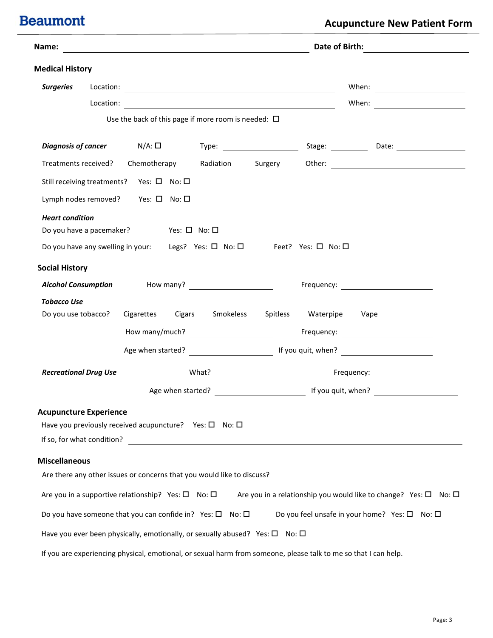| Name:                         |                                                                    | <u> 1989 - Johann Stein, mars an deutscher Stein und der Stein und der Stein und der Stein und der Stein und der</u> |                   | Date of Birth:          |                                                                                                                                                                                                                               |  |
|-------------------------------|--------------------------------------------------------------------|----------------------------------------------------------------------------------------------------------------------|-------------------|-------------------------|-------------------------------------------------------------------------------------------------------------------------------------------------------------------------------------------------------------------------------|--|
| <b>Medical History</b>        |                                                                    |                                                                                                                      |                   |                         |                                                                                                                                                                                                                               |  |
| <b>Surgeries</b>              |                                                                    |                                                                                                                      |                   |                         | When: will be a series of the series of the series of the series of the series of the series of the series of the series of the series of the series of the series of the series of the series of the series of the series of |  |
|                               |                                                                    |                                                                                                                      |                   |                         |                                                                                                                                                                                                                               |  |
|                               |                                                                    | Use the back of this page if more room is needed: $\Box$                                                             |                   |                         |                                                                                                                                                                                                                               |  |
|                               | Diagnosis of cancer $N/A: \Box$                                    |                                                                                                                      |                   |                         |                                                                                                                                                                                                                               |  |
|                               | Treatments received? Chemotherapy                                  |                                                                                                                      | Radiation Surgery |                         |                                                                                                                                                                                                                               |  |
|                               | Still receiving treatments? Yes: □ No: □                           |                                                                                                                      |                   |                         |                                                                                                                                                                                                                               |  |
|                               | Lymph nodes removed? Yes: □ No: □                                  |                                                                                                                      |                   |                         |                                                                                                                                                                                                                               |  |
| <b>Heart condition</b>        | Do you have a pacemaker? Yes: $\Box$ No: $\Box$                    |                                                                                                                      |                   |                         |                                                                                                                                                                                                                               |  |
|                               |                                                                    | Do you have any swelling in your: Legs? Yes: $\square$ No: $\square$ Feet? Yes: $\square$ No: $\square$              |                   |                         |                                                                                                                                                                                                                               |  |
| <b>Social History</b>         |                                                                    |                                                                                                                      |                   |                         |                                                                                                                                                                                                                               |  |
|                               |                                                                    |                                                                                                                      |                   |                         |                                                                                                                                                                                                                               |  |
| <b>Tobacco Use</b>            |                                                                    |                                                                                                                      |                   |                         |                                                                                                                                                                                                                               |  |
| Do you use tobacco?           |                                                                    | Cigarettes Cigars Smokeless                                                                                          |                   | Spitless Waterpipe Vape |                                                                                                                                                                                                                               |  |
|                               |                                                                    |                                                                                                                      |                   |                         |                                                                                                                                                                                                                               |  |
|                               |                                                                    |                                                                                                                      |                   |                         |                                                                                                                                                                                                                               |  |
| <b>Recreational Drug Use</b>  |                                                                    |                                                                                                                      |                   |                         |                                                                                                                                                                                                                               |  |
|                               |                                                                    |                                                                                                                      |                   |                         |                                                                                                                                                                                                                               |  |
| <b>Acupuncture Experience</b> |                                                                    | Have you previously received acupuncture? Yes: $\square$ No: $\square$                                               |                   |                         |                                                                                                                                                                                                                               |  |
| <b>Miscellaneous</b>          |                                                                    |                                                                                                                      |                   |                         |                                                                                                                                                                                                                               |  |
|                               |                                                                    | Are there any other issues or concerns that you would like to discuss?                                               |                   |                         | <u> 1989 - Andrea Branden, amerikansk politik (</u>                                                                                                                                                                           |  |
|                               | Are you in a supportive relationship? Yes: $\square$ No: $\square$ |                                                                                                                      |                   |                         | Are you in a relationship you would like to change? Yes: $\square$ No: $\square$                                                                                                                                              |  |
|                               |                                                                    | Do you have someone that you can confide in? Yes: $\square$ No: $\square$                                            |                   |                         | Do you feel unsafe in your home? Yes: $\square$ No: $\square$                                                                                                                                                                 |  |
|                               |                                                                    | Have you ever been physically, emotionally, or sexually abused? Yes: $\square$ No: $\square$                         |                   |                         |                                                                                                                                                                                                                               |  |
|                               |                                                                    | If you are experiencing physical, emotional, or sexual harm from someone, please talk to me so that I can help.      |                   |                         |                                                                                                                                                                                                                               |  |